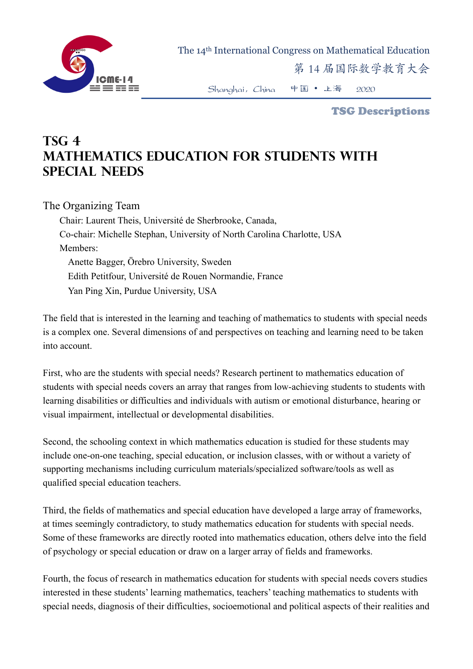

The 14th International Congress on Mathematical Education

第 14 届国际数学教育大会

Shanghai,China 中国 • 上海 2020

TSG Descriptions

## **TSG 4 Mathematics education for students with special needs**

The Organizing Team

Chair: Laurent Theis, Université de Sherbrooke, Canada, Co-chair: Michelle Stephan, University of North Carolina Charlotte, USA Members: Anette Bagger, Örebro University, Sweden Edith Petitfour, Université de Rouen Normandie, France Yan Ping Xin, Purdue University, USA

The field that is interested in the learning and teaching of mathematics to students with special needs is a complex one. Several dimensions of and perspectives on teaching and learning need to be taken into account.

First, who are the students with special needs? Research pertinent to mathematics education of students with special needs covers an array that ranges from low-achieving students to students with learning disabilities or difficulties and individuals with autism or emotional disturbance, hearing or visual impairment, intellectual or developmental disabilities.

Second, the schooling context in which mathematics education is studied for these students may include one-on-one teaching, special education, or inclusion classes, with or without a variety of supporting mechanisms including curriculum materials/specialized software/tools as well as qualified special education teachers.

Third, the fields of mathematics and special education have developed a large array of frameworks, at times seemingly contradictory, to study mathematics education for students with special needs. Some of these frameworks are directly rooted into mathematics education, others delve into the field of psychology or special education or draw on a larger array of fields and frameworks.

Fourth, the focus of research in mathematics education for students with special needs covers studies interested in these students' learning mathematics, teachers' teaching mathematics to students with special needs, diagnosis of their difficulties, socioemotional and political aspects of their realities and